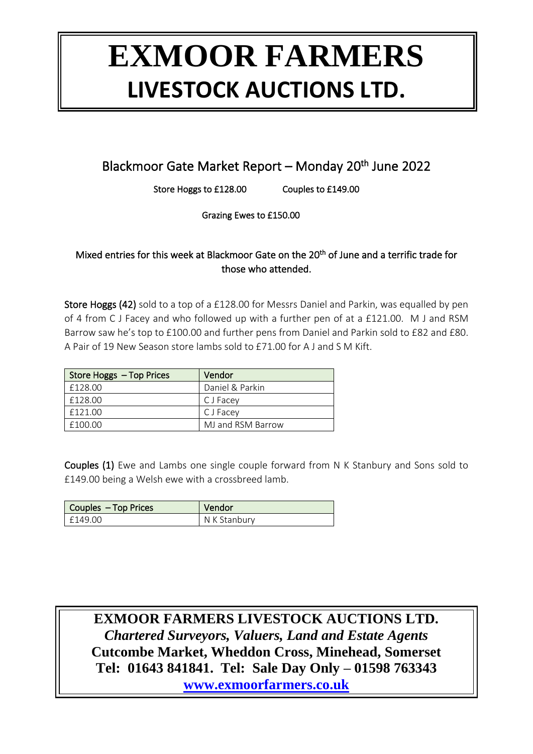### Blackmoor Gate Market Report - Monday 20<sup>th</sup> June 2022

Store Hoggs to £128.00 Couples to £149.00

Grazing Ewes to £150.00

#### Mixed entries for this week at Blackmoor Gate on the 20<sup>th</sup> of June and a terrific trade for those who attended.

Store Hoggs (42) sold to a top of a £128.00 for Messrs Daniel and Parkin, was equalled by pen of 4 from C J Facey and who followed up with a further pen of at a £121.00. M J and RSM Barrow saw he's top to £100.00 and further pens from Daniel and Parkin sold to £82 and £80. A Pair of 19 New Season store lambs sold to £71.00 for A J and S M Kift.

| Store Hoggs - Top Prices | Vendor            |
|--------------------------|-------------------|
| £128.00                  | Daniel & Parkin   |
| £128.00                  | C J Facey         |
| £121.00                  | C J Facey         |
| f10000                   | MJ and RSM Barrow |

Couples (1) Ewe and Lambs one single couple forward from N K Stanbury and Sons sold to £149.00 being a Welsh ewe with a crossbreed lamb.

| <b>Couples - Top Prices</b> | Vendor       |
|-----------------------------|--------------|
| f149.00                     | N K Stanbury |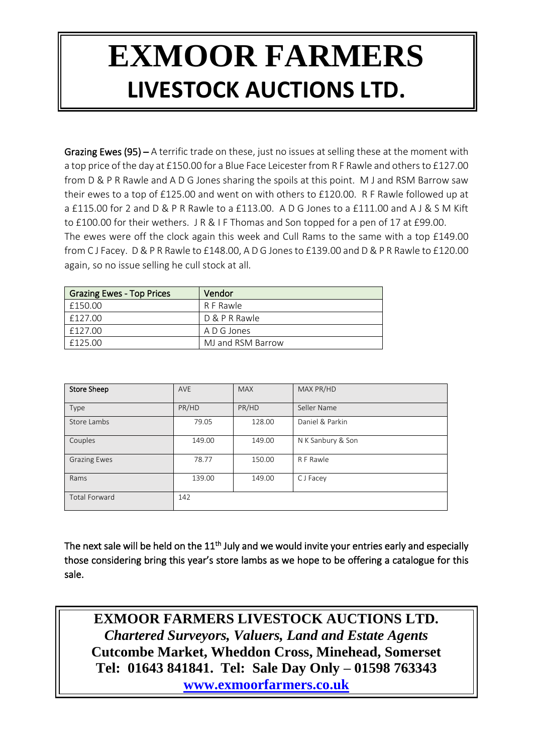Grazing Ewes (95) – A terrific trade on these, just no issues at selling these at the moment with a top price of the day at £150.00 for a Blue Face Leicester from R F Rawle and others to £127.00 from D & P R Rawle and A D G Jones sharing the spoils at this point. M J and RSM Barrow saw their ewes to a top of £125.00 and went on with others to £120.00. R F Rawle followed up at a £115.00 for 2 and D & P R Rawle to a £113.00. A D G Jones to a £111.00 and A J & S M Kift to £100.00 for their wethers. J R & I F Thomas and Son topped for a pen of 17 at £99.00. The ewes were off the clock again this week and Cull Rams to the same with a top £149.00 from C J Facey. D & P R Rawle to £148.00, A D G Jones to £139.00 and D & P R Rawle to £120.00 again, so no issue selling he cull stock at all.

| <b>Grazing Ewes - Top Prices</b> | Vendor            |  |
|----------------------------------|-------------------|--|
| £150.00                          | R F Rawle         |  |
| £127.00                          | D & P R Rawle     |  |
| £127.00                          | A D G Jones       |  |
| f12500                           | MJ and RSM Barrow |  |

| <b>Store Sheep</b>   | <b>AVE</b> | <b>MAX</b> | MAX PR/HD         |
|----------------------|------------|------------|-------------------|
| Type                 | PR/HD      | PR/HD      | Seller Name       |
| Store Lambs          | 79.05      | 128.00     | Daniel & Parkin   |
| Couples              | 149.00     | 149.00     | N K Sanbury & Son |
| <b>Grazing Ewes</b>  | 78.77      | 150.00     | R F Rawle         |
| Rams                 | 139.00     | 149.00     | CJFacey           |
| <b>Total Forward</b> | 142        |            |                   |

The next sale will be held on the  $11<sup>th</sup>$  July and we would invite your entries early and especially those considering bring this year's store lambs as we hope to be offering a catalogue for this sale.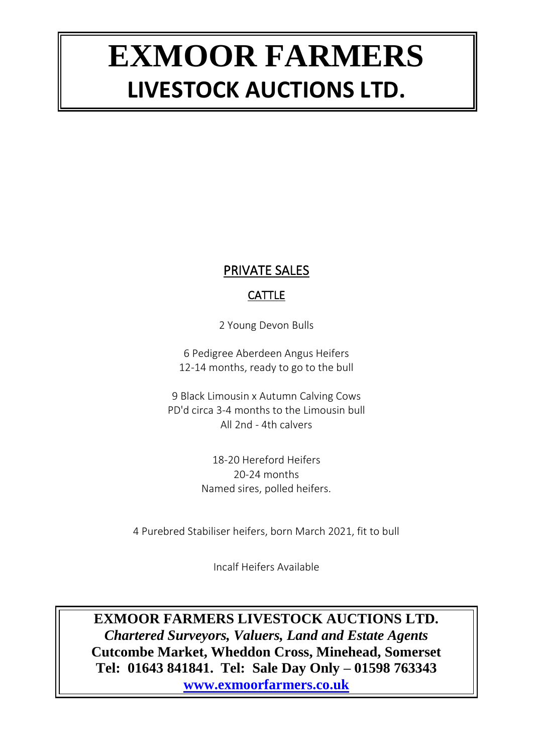### PRIVATE SALES

### **CATTLE**

2 Young Devon Bulls

6 Pedigree Aberdeen Angus Heifers 12-14 months, ready to go to the bull

9 Black Limousin x Autumn Calving Cows PD'd circa 3-4 months to the Limousin bull All 2nd - 4th calvers

> 18-20 Hereford Heifers 20-24 months Named sires, polled heifers.

4 Purebred Stabiliser heifers, born March 2021, fit to bull

Incalf Heifers Available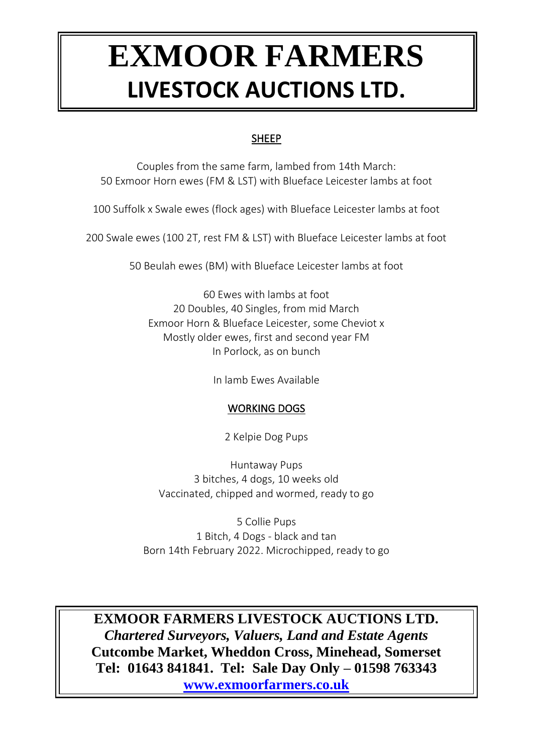### SHEEP

Couples from the same farm, lambed from 14th March: 50 Exmoor Horn ewes (FM & LST) with Blueface Leicester lambs at foot

100 Suffolk x Swale ewes (flock ages) with Blueface Leicester lambs at foot

200 Swale ewes (100 2T, rest FM & LST) with Blueface Leicester lambs at foot

50 Beulah ewes (BM) with Blueface Leicester lambs at foot

60 Ewes with lambs at foot 20 Doubles, 40 Singles, from mid March Exmoor Horn & Blueface Leicester, some Cheviot x Mostly older ewes, first and second year FM In Porlock, as on bunch

In lamb Ewes Available

### WORKING DOGS

2 Kelpie Dog Pups

Huntaway Pups 3 bitches, 4 dogs, 10 weeks old Vaccinated, chipped and wormed, ready to go

5 Collie Pups 1 Bitch, 4 Dogs - black and tan Born 14th February 2022. Microchipped, ready to go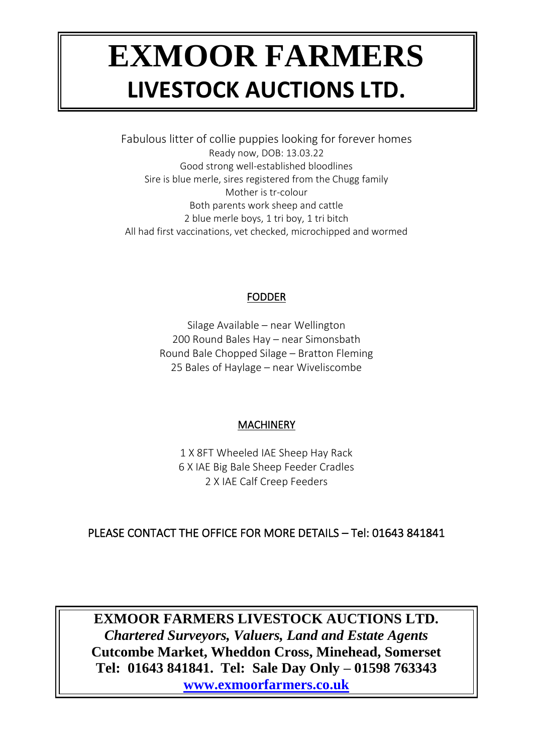Fabulous litter of collie puppies looking for forever homes Ready now, DOB: 13.03.22 Good strong well-established bloodlines Sire is blue merle, sires registered from the Chugg family Mother is tr-colour Both parents work sheep and cattle 2 blue merle boys, 1 tri boy, 1 tri bitch All had first vaccinations, vet checked, microchipped and wormed

#### FODDER

Silage Available – near Wellington 200 Round Bales Hay – near Simonsbath Round Bale Chopped Silage – Bratton Fleming 25 Bales of Haylage – near Wiveliscombe

### MACHINERY

1 X 8FT Wheeled IAE Sheep Hay Rack 6 X IAE Big Bale Sheep Feeder Cradles 2 X IAE Calf Creep Feeders

### PLEASE CONTACT THE OFFICE FOR MORE DETAILS – Tel: 01643 841841